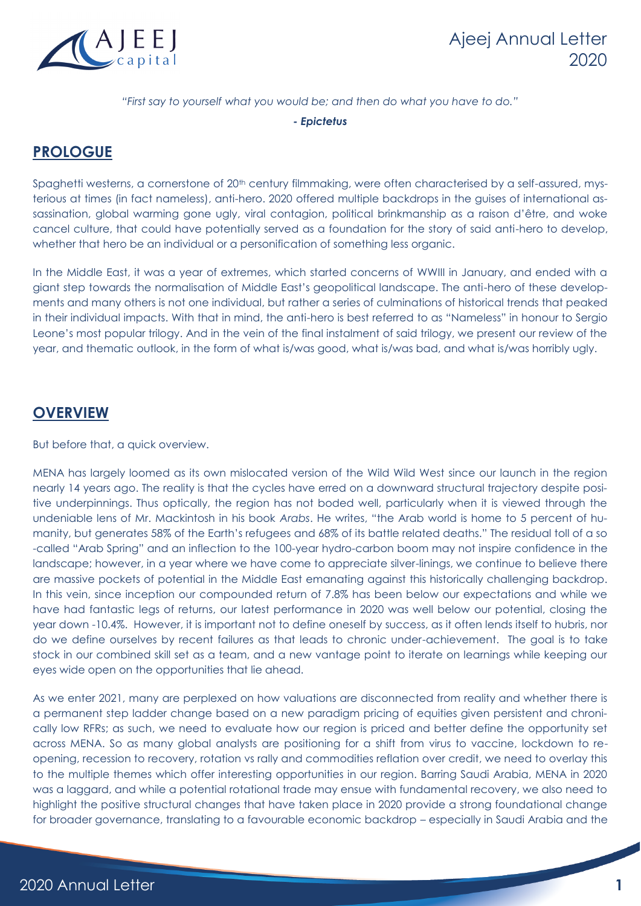

#### *"First say to yourself what you would be; and then do what you have to do."*

*- Epictetus*

## **PROLOGUE**

Spaghetti westerns, a cornerstone of 20<sup>th</sup> century filmmaking, were often characterised by a self-assured, mysterious at times (in fact nameless), anti-hero. 2020 offered multiple backdrops in the guises of international assassination, global warming gone ugly, viral contagion, political brinkmanship as a raison d'être, and woke cancel culture, that could have potentially served as a foundation for the story of said anti-hero to develop, whether that hero be an individual or a personification of something less organic.

In the Middle East, it was a year of extremes, which started concerns of WWIII in January, and ended with a giant step towards the normalisation of Middle East's geopolitical landscape. The anti-hero of these developments and many others is not one individual, but rather a series of culminations of historical trends that peaked in their individual impacts. With that in mind, the anti-hero is best referred to as "Nameless" in honour to Sergio Leone's most popular trilogy. And in the vein of the final instalment of said trilogy, we present our review of the year, and thematic outlook, in the form of what is/was good, what is/was bad, and what is/was horribly ugly.

## **OVERVIEW**

But before that, a quick overview.

MENA has largely loomed as its own mislocated version of the Wild Wild West since our launch in the region nearly 14 years ago. The reality is that the cycles have erred on a downward structural trajectory despite positive underpinnings. Thus optically, the region has not boded well, particularly when it is viewed through the undeniable lens of Mr. Mackintosh in his book *Arabs*. He writes, "the Arab world is home to 5 percent of humanity, but generates 58% of the Earth's refugees and 68% of its battle related deaths." The residual toll of a so -called "Arab Spring" and an inflection to the 100-year hydro-carbon boom may not inspire confidence in the landscape; however, in a year where we have come to appreciate silver-linings, we continue to believe there are massive pockets of potential in the Middle East emanating against this historically challenging backdrop. In this vein, since inception our compounded return of 7.8% has been below our expectations and while we have had fantastic legs of returns, our latest performance in 2020 was well below our potential, closing the year down -10.4%. However, it is important not to define oneself by success, as it often lends itself to hubris, nor do we define ourselves by recent failures as that leads to chronic under-achievement. The goal is to take stock in our combined skill set as a team, and a new vantage point to iterate on learnings while keeping our eyes wide open on the opportunities that lie ahead.

As we enter 2021, many are perplexed on how valuations are disconnected from reality and whether there is a permanent step ladder change based on a new paradigm pricing of equities given persistent and chronically low RFRs; as such, we need to evaluate how our region is priced and better define the opportunity set across MENA. So as many global analysts are positioning for a shift from virus to vaccine, lockdown to reopening, recession to recovery, rotation vs rally and commodities reflation over credit, we need to overlay this to the multiple themes which offer interesting opportunities in our region. Barring Saudi Arabia, MENA in 2020 was a laggard, and while a potential rotational trade may ensue with fundamental recovery, we also need to highlight the positive structural changes that have taken place in 2020 provide a strong foundational change for broader governance, translating to a favourable economic backdrop – especially in Saudi Arabia and the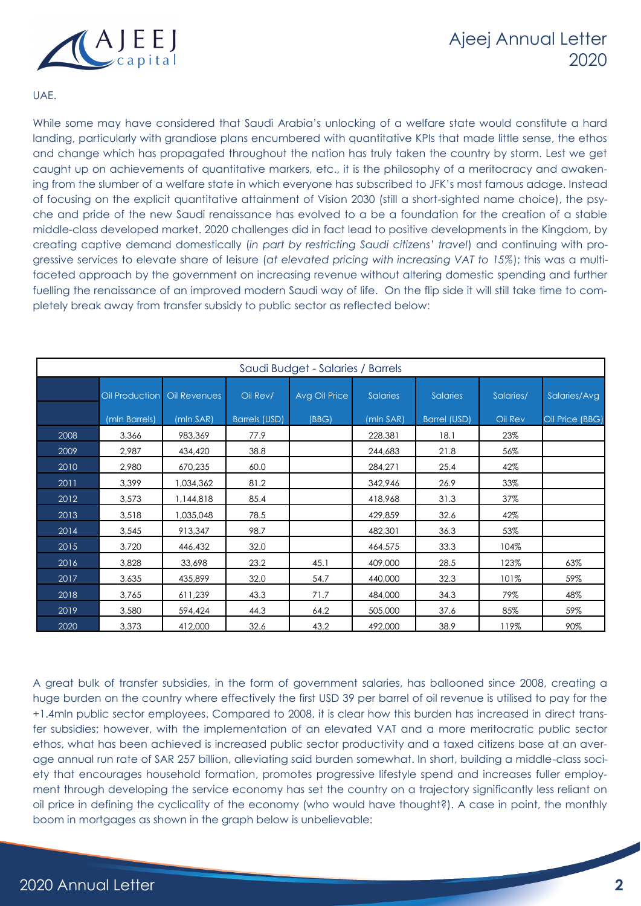

#### UAE.

While some may have considered that Saudi Arabia's unlocking of a welfare state would constitute a hard landing, particularly with grandiose plans encumbered with quantitative KPIs that made little sense, the ethos and change which has propagated throughout the nation has truly taken the country by storm. Lest we get caught up on achievements of quantitative markers, etc., it is the philosophy of a meritocracy and awakening from the slumber of a welfare state in which everyone has subscribed to JFK's most famous adage. Instead of focusing on the explicit quantitative attainment of Vision 2030 (still a short-sighted name choice), the psyche and pride of the new Saudi renaissance has evolved to a be a foundation for the creation of a stable middle-class developed market. 2020 challenges did in fact lead to positive developments in the Kingdom, by creating captive demand domestically (*in part by restricting Saudi citizens' travel*) and continuing with progressive services to elevate share of leisure (*at elevated pricing with increasing VAT to 15%*); this was a multifaceted approach by the government on increasing revenue without altering domestic spending and further fuelling the renaissance of an improved modern Saudi way of life. On the flip side it will still take time to completely break away from transfer subsidy to public sector as reflected below:

| Saudi Budget - Salaries / Barrels |                |              |                      |               |                 |                     |           |                 |
|-----------------------------------|----------------|--------------|----------------------|---------------|-----------------|---------------------|-----------|-----------------|
|                                   | Oil Production | Oil Revenues | Oil Rev/             | Avg Oil Price | <b>Salaries</b> | <b>Salaries</b>     | Salaries/ | Salaries/Avg    |
|                                   | (mln Barrels)  | (mln SAR)    | <b>Barrels (USD)</b> | (BBG)         | (mln SAR)       | <b>Barrel (USD)</b> | Oil Rev   | Oil Price (BBG) |
| 2008                              | 3,366          | 983,369      | 77.9                 |               | 228,381         | 18.1                | 23%       |                 |
| 2009                              | 2,987          | 434,420      | 38.8                 |               | 244,683         | 21.8                | 56%       |                 |
| 2010                              | 2,980          | 670,235      | 60.0                 |               | 284,271         | 25.4                | 42%       |                 |
| 2011                              | 3,399          | 1,034,362    | 81.2                 |               | 342,946         | 26.9                | 33%       |                 |
| 2012                              | 3,573          | 1,144,818    | 85.4                 |               | 418,968         | 31.3                | 37%       |                 |
| 2013                              | 3,518          | 1,035,048    | 78.5                 |               | 429,859         | 32.6                | 42%       |                 |
| 2014                              | 3,545          | 913,347      | 98.7                 |               | 482,301         | 36.3                | 53%       |                 |
| 2015                              | 3,720          | 446,432      | 32.0                 |               | 464,575         | 33.3                | 104%      |                 |
| 2016                              | 3,828          | 33,698       | 23.2                 | 45.1          | 409,000         | 28.5                | 123%      | 63%             |
| 2017                              | 3,635          | 435,899      | 32.0                 | 54.7          | 440,000         | 32.3                | 101%      | 59%             |
| 2018                              | 3,765          | 611,239      | 43.3                 | 71.7          | 484,000         | 34.3                | 79%       | 48%             |
| 2019                              | 3,580          | 594,424      | 44.3                 | 64.2          | 505,000         | 37.6                | 85%       | 59%             |
| 2020                              | 3,373          | 412,000      | 32.6                 | 43.2          | 492,000         | 38.9                | 119%      | 90%             |

A great bulk of transfer subsidies, in the form of government salaries, has ballooned since 2008, creating a huge burden on the country where effectively the first USD 39 per barrel of oil revenue is utilised to pay for the +1.4mln public sector employees. Compared to 2008, it is clear how this burden has increased in direct transfer subsidies; however, with the implementation of an elevated VAT and a more meritocratic public sector ethos, what has been achieved is increased public sector productivity and a taxed citizens base at an average annual run rate of SAR 257 billion, alleviating said burden somewhat. In short, building a middle-class society that encourages household formation, promotes progressive lifestyle spend and increases fuller employment through developing the service economy has set the country on a trajectory significantly less reliant on oil price in defining the cyclicality of the economy (who would have thought?). A case in point, the monthly boom in mortgages as shown in the graph below is unbelievable: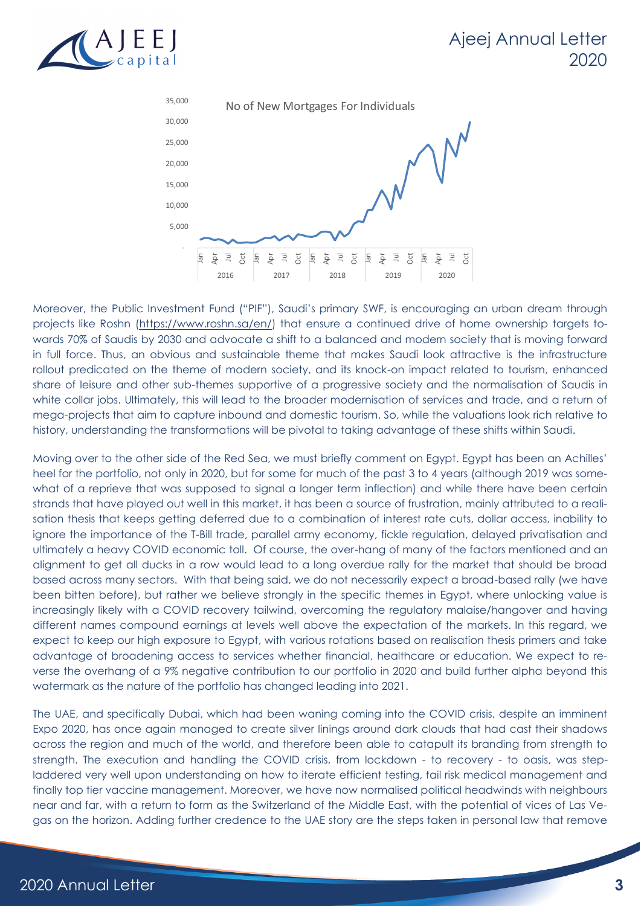



Moreover, the Public Investment Fund ("PIF"), Saudi's primary SWF, is encouraging an urban dream through projects like Roshn [\(https://www.roshn.sa/en/\)](https://www.roshn.sa/en/) that ensure a continued drive of home ownership targets towards 70% of Saudis by 2030 and advocate a shift to a balanced and modern society that is moving forward in full force. Thus, an obvious and sustainable theme that makes Saudi look attractive is the infrastructure rollout predicated on the theme of modern society, and its knock-on impact related to tourism, enhanced share of leisure and other sub-themes supportive of a progressive society and the normalisation of Saudis in white collar jobs. Ultimately, this will lead to the broader modernisation of services and trade, and a return of mega-projects that aim to capture inbound and domestic tourism. So, while the valuations look rich relative to history, understanding the transformations will be pivotal to taking advantage of these shifts within Saudi.

Moving over to the other side of the Red Sea, we must briefly comment on Egypt. Egypt has been an Achilles' heel for the portfolio, not only in 2020, but for some for much of the past 3 to 4 years (although 2019 was somewhat of a reprieve that was supposed to signal a longer term inflection) and while there have been certain strands that have played out well in this market, it has been a source of frustration, mainly attributed to a realisation thesis that keeps getting deferred due to a combination of interest rate cuts, dollar access, inability to ignore the importance of the T-Bill trade, parallel army economy, fickle regulation, delayed privatisation and ultimately a heavy COVID economic toll. Of course, the over-hang of many of the factors mentioned and an alignment to get all ducks in a row would lead to a long overdue rally for the market that should be broad based across many sectors. With that being said, we do not necessarily expect a broad-based rally (we have been bitten before), but rather we believe strongly in the specific themes in Egypt, where unlocking value is increasingly likely with a COVID recovery tailwind, overcoming the regulatory malaise/hangover and having different names compound earnings at levels well above the expectation of the markets. In this regard, we expect to keep our high exposure to Egypt, with various rotations based on realisation thesis primers and take advantage of broadening access to services whether financial, healthcare or education. We expect to reverse the overhang of a 9% negative contribution to our portfolio in 2020 and build further alpha beyond this watermark as the nature of the portfolio has changed leading into 2021.

The UAE, and specifically Dubai, which had been waning coming into the COVID crisis, despite an imminent Expo 2020, has once again managed to create silver linings around dark clouds that had cast their shadows across the region and much of the world, and therefore been able to catapult its branding from strength to strength. The execution and handling the COVID crisis, from lockdown - to recovery - to oasis, was stepladdered very well upon understanding on how to iterate efficient testing, tail risk medical management and finally top tier vaccine management. Moreover, we have now normalised political headwinds with neighbours near and far, with a return to form as the Switzerland of the Middle East, with the potential of vices of Las Vegas on the horizon. Adding further credence to the UAE story are the steps taken in personal law that remove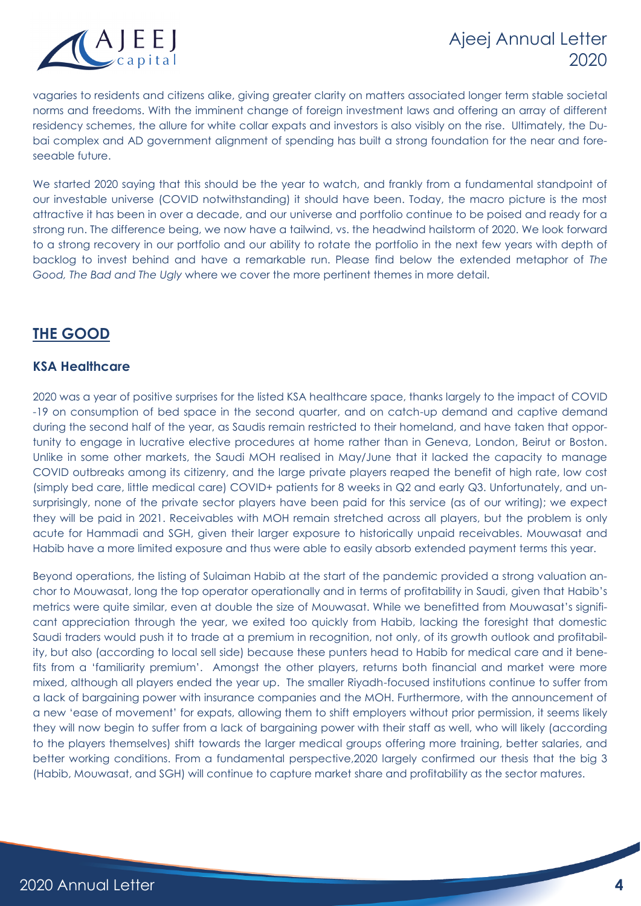

vagaries to residents and citizens alike, giving greater clarity on matters associated longer term stable societal norms and freedoms. With the imminent change of foreign investment laws and offering an array of different residency schemes, the allure for white collar expats and investors is also visibly on the rise. Ultimately, the Dubai complex and AD government alignment of spending has built a strong foundation for the near and foreseeable future.

We started 2020 saying that this should be the year to watch, and frankly from a fundamental standpoint of our investable universe (COVID notwithstanding) it should have been. Today, the macro picture is the most attractive it has been in over a decade, and our universe and portfolio continue to be poised and ready for a strong run. The difference being, we now have a tailwind, vs. the headwind hailstorm of 2020. We look forward to a strong recovery in our portfolio and our ability to rotate the portfolio in the next few years with depth of backlog to invest behind and have a remarkable run. Please find below the extended metaphor of *The Good, The Bad and The Ugly* where we cover the more pertinent themes in more detail.

## **THE GOOD**

## **KSA Healthcare**

2020 was a year of positive surprises for the listed KSA healthcare space, thanks largely to the impact of COVID -19 on consumption of bed space in the second quarter, and on catch-up demand and captive demand during the second half of the year, as Saudis remain restricted to their homeland, and have taken that opportunity to engage in lucrative elective procedures at home rather than in Geneva, London, Beirut or Boston. Unlike in some other markets, the Saudi MOH realised in May/June that it lacked the capacity to manage COVID outbreaks among its citizenry, and the large private players reaped the benefit of high rate, low cost (simply bed care, little medical care) COVID+ patients for 8 weeks in Q2 and early Q3. Unfortunately, and unsurprisingly, none of the private sector players have been paid for this service (as of our writing); we expect they will be paid in 2021. Receivables with MOH remain stretched across all players, but the problem is only acute for Hammadi and SGH, given their larger exposure to historically unpaid receivables. Mouwasat and Habib have a more limited exposure and thus were able to easily absorb extended payment terms this year.

Beyond operations, the listing of Sulaiman Habib at the start of the pandemic provided a strong valuation anchor to Mouwasat, long the top operator operationally and in terms of profitability in Saudi, given that Habib's metrics were quite similar, even at double the size of Mouwasat. While we benefitted from Mouwasat's significant appreciation through the year, we exited too quickly from Habib, lacking the foresight that domestic Saudi traders would push it to trade at a premium in recognition, not only, of its growth outlook and profitability, but also (according to local sell side) because these punters head to Habib for medical care and it benefits from a 'familiarity premium'. Amongst the other players, returns both financial and market were more mixed, although all players ended the year up. The smaller Riyadh-focused institutions continue to suffer from a lack of bargaining power with insurance companies and the MOH. Furthermore, with the announcement of a new 'ease of movement' for expats, allowing them to shift employers without prior permission, it seems likely they will now begin to suffer from a lack of bargaining power with their staff as well, who will likely (according to the players themselves) shift towards the larger medical groups offering more training, better salaries, and better working conditions. From a fundamental perspective,2020 largely confirmed our thesis that the big 3 (Habib, Mouwasat, and SGH) will continue to capture market share and profitability as the sector matures.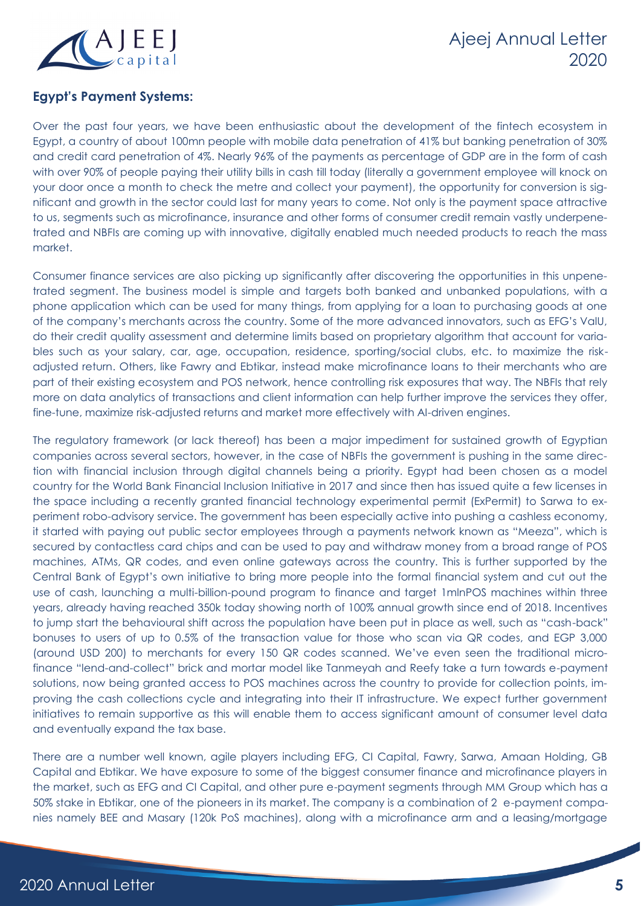

## **Egypt's Payment Systems:**

Over the past four years, we have been enthusiastic about the development of the fintech ecosystem in Egypt, a country of about 100mn people with mobile data penetration of 41% but banking penetration of 30% and credit card penetration of 4%. Nearly 96% of the payments as percentage of GDP are in the form of cash with over 90% of people paying their utility bills in cash till today (literally a government employee will knock on your door once a month to check the metre and collect your payment), the opportunity for conversion is significant and growth in the sector could last for many years to come. Not only is the payment space attractive to us, segments such as microfinance, insurance and other forms of consumer credit remain vastly underpenetrated and NBFIs are coming up with innovative, digitally enabled much needed products to reach the mass market.

Consumer finance services are also picking up significantly after discovering the opportunities in this unpenetrated segment. The business model is simple and targets both banked and unbanked populations, with a phone application which can be used for many things, from applying for a loan to purchasing goods at one of the company's merchants across the country. Some of the more advanced innovators, such as EFG's ValU, do their credit quality assessment and determine limits based on proprietary algorithm that account for variables such as your salary, car, age, occupation, residence, sporting/social clubs, etc. to maximize the riskadjusted return. Others, like Fawry and Ebtikar, instead make microfinance loans to their merchants who are part of their existing ecosystem and POS network, hence controlling risk exposures that way. The NBFIs that rely more on data analytics of transactions and client information can help further improve the services they offer, fine-tune, maximize risk-adjusted returns and market more effectively with AI-driven engines.

The regulatory framework (or lack thereof) has been a major impediment for sustained growth of Egyptian companies across several sectors, however, in the case of NBFIs the government is pushing in the same direction with financial inclusion through digital channels being a priority. Egypt had been chosen as a model country for the World Bank Financial Inclusion Initiative in 2017 and since then has issued quite a few licenses in the space including a recently granted financial technology experimental permit (ExPermit) to Sarwa to experiment robo-advisory service. The government has been especially active into pushing a cashless economy, it started with paying out public sector employees through a payments network known as "Meeza", which is secured by contactless card chips and can be used to pay and withdraw money from a broad range of POS machines, ATMs, QR codes, and even online gateways across the country. This is further supported by the Central Bank of Egypt's own initiative to bring more people into the formal financial system and cut out the use of cash, launching a multi-billion-pound program to finance and target 1mlnPOS machines within three years, already having reached 350k today showing north of 100% annual growth since end of 2018. Incentives to jump start the behavioural shift across the population have been put in place as well, such as "cash-back" bonuses to users of up to 0.5% of the transaction value for those who scan via QR codes, and EGP 3,000 (around USD 200) to merchants for every 150 QR codes scanned. We've even seen the traditional microfinance "lend-and-collect" brick and mortar model like Tanmeyah and Reefy take a turn towards e-payment solutions, now being granted access to POS machines across the country to provide for collection points, improving the cash collections cycle and integrating into their IT infrastructure. We expect further government initiatives to remain supportive as this will enable them to access significant amount of consumer level data and eventually expand the tax base.

There are a number well known, agile players including EFG, CI Capital, Fawry, Sarwa, Amaan Holding, GB Capital and Ebtikar. We have exposure to some of the biggest consumer finance and microfinance players in the market, such as EFG and CI Capital, and other pure e-payment segments through MM Group which has a 50% stake in Ebtikar, one of the pioneers in its market. The company is a combination of 2 e-payment companies namely BEE and Masary (120k PoS machines), along with a microfinance arm and a leasing/mortgage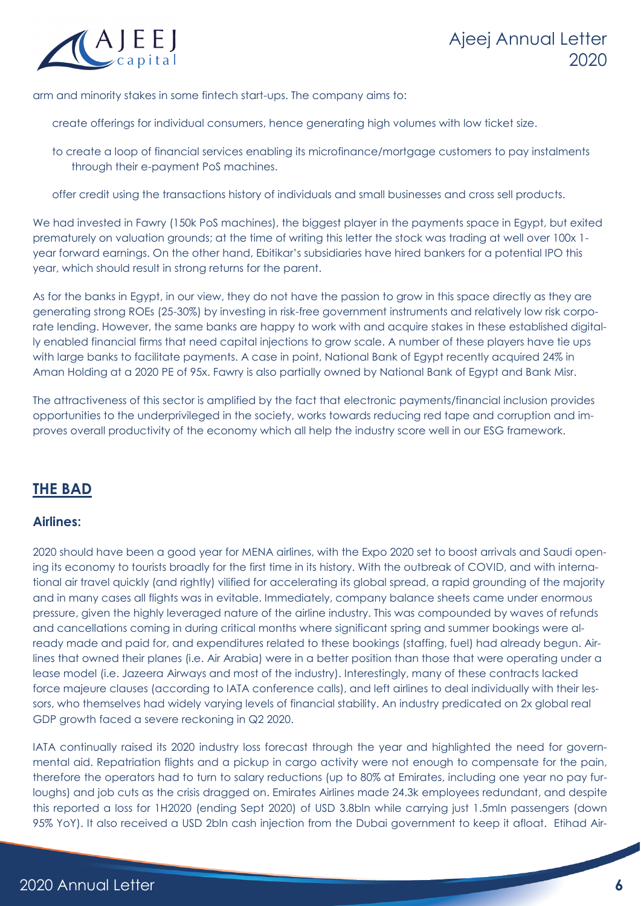

arm and minority stakes in some fintech start-ups. The company aims to:

create offerings for individual consumers, hence generating high volumes with low ticket size.

to create a loop of financial services enabling its microfinance/mortgage customers to pay instalments through their e-payment PoS machines.

offer credit using the transactions history of individuals and small businesses and cross sell products.

We had invested in Fawry (150k PoS machines), the biggest player in the payments space in Egypt, but exited prematurely on valuation grounds; at the time of writing this letter the stock was trading at well over 100x 1 year forward earnings. On the other hand, Ebitikar's subsidiaries have hired bankers for a potential IPO this year, which should result in strong returns for the parent.

As for the banks in Egypt, in our view, they do not have the passion to grow in this space directly as they are generating strong ROEs (25-30%) by investing in risk-free government instruments and relatively low risk corporate lending. However, the same banks are happy to work with and acquire stakes in these established digitally enabled financial firms that need capital injections to grow scale. A number of these players have tie ups with large banks to facilitate payments. A case in point, National Bank of Egypt recently acquired 24% in Aman Holding at a 2020 PE of 95x. Fawry is also partially owned by National Bank of Egypt and Bank Misr.

The attractiveness of this sector is amplified by the fact that electronic payments/financial inclusion provides opportunities to the underprivileged in the society, works towards reducing red tape and corruption and improves overall productivity of the economy which all help the industry score well in our ESG framework.

## **THE BAD**

#### **Airlines:**

2020 should have been a good year for MENA airlines, with the Expo 2020 set to boost arrivals and Saudi opening its economy to tourists broadly for the first time in its history. With the outbreak of COVID, and with international air travel quickly (and rightly) vilified for accelerating its global spread, a rapid grounding of the majority and in many cases all flights was in evitable. Immediately, company balance sheets came under enormous pressure, given the highly leveraged nature of the airline industry. This was compounded by waves of refunds and cancellations coming in during critical months where significant spring and summer bookings were already made and paid for, and expenditures related to these bookings (staffing, fuel) had already begun. Airlines that owned their planes (i.e. Air Arabia) were in a better position than those that were operating under a lease model (i.e. Jazeera Airways and most of the industry). Interestingly, many of these contracts lacked force majeure clauses (according to IATA conference calls), and left airlines to deal individually with their lessors, who themselves had widely varying levels of financial stability. An industry predicated on 2x global real GDP growth faced a severe reckoning in Q2 2020.

IATA continually raised its 2020 industry loss forecast through the year and highlighted the need for governmental aid. Repatriation flights and a pickup in cargo activity were not enough to compensate for the pain, therefore the operators had to turn to salary reductions (up to 80% at Emirates, including one year no pay furloughs) and job cuts as the crisis dragged on. Emirates Airlines made 24.3k employees redundant, and despite this reported a loss for 1H2020 (ending Sept 2020) of USD 3.8bln while carrying just 1.5mln passengers (down 95% YoY). It also received a USD 2bln cash injection from the Dubai government to keep it afloat. Etihad Air-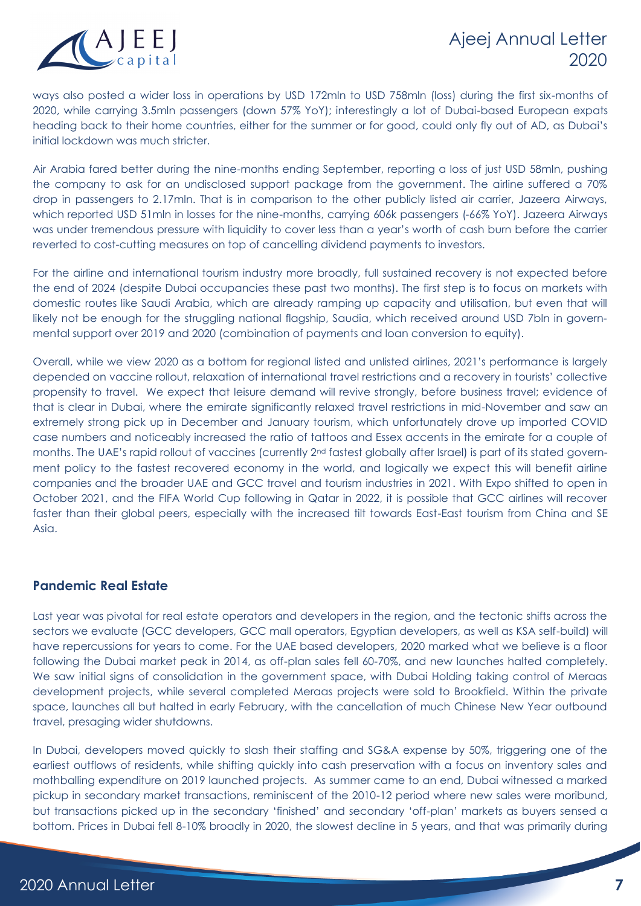ways also posted a wider loss in operations by USD 172mln to USD 758mln (loss) during the first six-months of 2020, while carrying 3.5mln passengers (down 57% YoY); interestingly a lot of Dubai-based European expats heading back to their home countries, either for the summer or for good, could only fly out of AD, as Dubai's initial lockdown was much stricter.

Air Arabia fared better during the nine-months ending September, reporting a loss of just USD 58mln, pushing the company to ask for an undisclosed support package from the government. The airline suffered a 70% drop in passengers to 2.17mln. That is in comparison to the other publicly listed air carrier, Jazeera Airways, which reported USD 51mln in losses for the nine-months, carrying 606k passengers (-66% YoY). Jazeera Airways was under tremendous pressure with liquidity to cover less than a year's worth of cash burn before the carrier reverted to cost-cutting measures on top of cancelling dividend payments to investors.

For the airline and international tourism industry more broadly, full sustained recovery is not expected before the end of 2024 (despite Dubai occupancies these past two months). The first step is to focus on markets with domestic routes like Saudi Arabia, which are already ramping up capacity and utilisation, but even that will likely not be enough for the struggling national flagship, Saudia, which received around USD 7bln in governmental support over 2019 and 2020 (combination of payments and loan conversion to equity).

Overall, while we view 2020 as a bottom for regional listed and unlisted airlines, 2021's performance is largely depended on vaccine rollout, relaxation of international travel restrictions and a recovery in tourists' collective propensity to travel. We expect that leisure demand will revive strongly, before business travel; evidence of that is clear in Dubai, where the emirate significantly relaxed travel restrictions in mid-November and saw an extremely strong pick up in December and January tourism, which unfortunately drove up imported COVID case numbers and noticeably increased the ratio of tattoos and Essex accents in the emirate for a couple of months. The UAE's rapid rollout of vaccines (currently 2<sup>nd</sup> fastest globally after Israel) is part of its stated government policy to the fastest recovered economy in the world, and logically we expect this will benefit airline companies and the broader UAE and GCC travel and tourism industries in 2021. With Expo shifted to open in October 2021, and the FIFA World Cup following in Qatar in 2022, it is possible that GCC airlines will recover faster than their global peers, especially with the increased tilt towards East-East tourism from China and SE Asia.

#### **Pandemic Real Estate**

Last year was pivotal for real estate operators and developers in the region, and the tectonic shifts across the sectors we evaluate (GCC developers, GCC mall operators, Egyptian developers, as well as KSA self-build) will have repercussions for years to come. For the UAE based developers, 2020 marked what we believe is a floor following the Dubai market peak in 2014, as off-plan sales fell 60-70%, and new launches halted completely. We saw initial signs of consolidation in the government space, with Dubai Holding taking control of Meraas development projects, while several completed Meraas projects were sold to Brookfield. Within the private space, launches all but halted in early February, with the cancellation of much Chinese New Year outbound travel, presaging wider shutdowns.

In Dubai, developers moved quickly to slash their staffing and SG&A expense by 50%, triggering one of the earliest outflows of residents, while shifting quickly into cash preservation with a focus on inventory sales and mothballing expenditure on 2019 launched projects. As summer came to an end, Dubai witnessed a marked pickup in secondary market transactions, reminiscent of the 2010-12 period where new sales were moribund, but transactions picked up in the secondary 'finished' and secondary 'off-plan' markets as buyers sensed a bottom. Prices in Dubai fell 8-10% broadly in 2020, the slowest decline in 5 years, and that was primarily during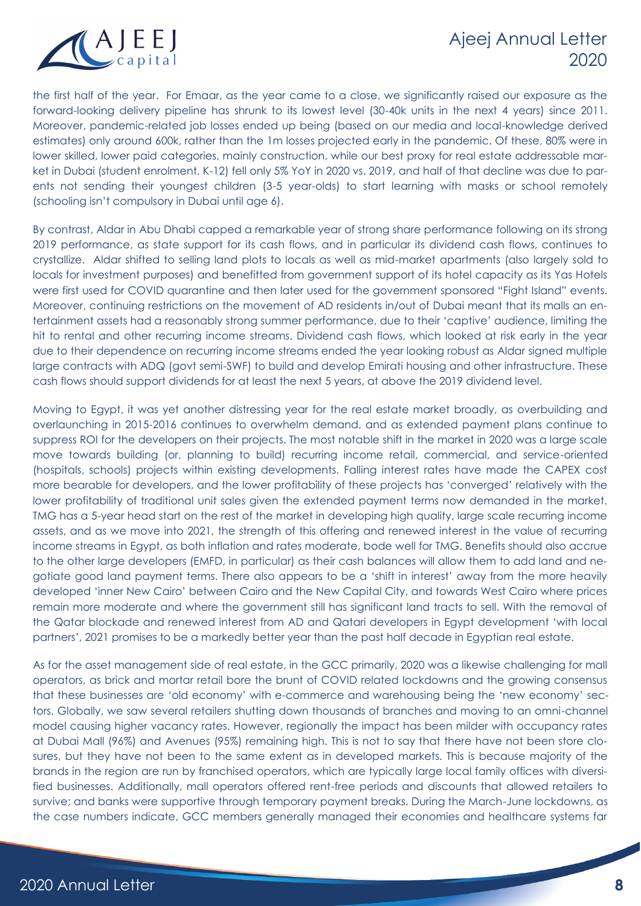

the first half of the year. For Emaar, as the year came to a close, we significantly raised our exposure as the forward-looking delivery pipeline has shrunk to its lowest level (30-40k units in the next 4 years) since 2011. Moreover, pandemic-related job losses ended up being (based on our media and local-knowledge derived estimates) only around 600k, rather than the 1m losses projected early in the pandemic. Of these, 80% were in lower skilled, lower paid categories, mainly construction, while our best proxy for real estate addressable market in Dubai (student enrolment, K-12) fell only 5% YoY in 2020 vs. 2019, and half of that decline was due to parents not sending their youngest children (3-5 year-olds) to start learning with masks or school remotely (schooling isn't compulsory in Dubai until age 6).

By contrast, Aldar in Abu Dhabi capped a remarkable year of strong share performance following on its strong 2019 performance, as state support for its cash flows, and in particular its dividend cash flows, continues to crystallize. Aldar shifted to selling land plots to locals as well as mid-market apartments (also largely sold to locals for investment purposes) and benefitted from government support of its hotel capacity as its Yas Hotels were first used for COVID quarantine and then later used for the government sponsored "Fight Island" events. Moreover, continuing restrictions on the movement of AD residents in/out of Dubai meant that its malls an entertainment assets had a reasonably strong summer performance, due to their 'captive' audience, limiting the hit to rental and other recurring income streams. Dividend cash flows, which looked at risk early in the year due to their dependence on recurring income streams ended the year looking robust as Aldar signed multiple large contracts with ADQ (govt semi-SWF) to build and develop Emirati housing and other infrastructure. These cash flows should support dividends for at least the next 5 years, at above the 2019 dividend level.

Moving to Egypt, it was yet another distressing year for the real estate market broadly, as overbuilding and overlaunching in 2015-2016 continues to overwhelm demand, and as extended payment plans continue to suppress ROI for the developers on their projects. The most notable shift in the market in 2020 was a large scale move towards building (or, planning to build) recurring income retail, commercial, and service-oriented (hospitals, schools) projects within existing developments. Falling interest rates have made the CAPEX cost more bearable for developers, and the lower profitability of these projects has 'converged' relatively with the lower profitability of traditional unit sales given the extended payment terms now demanded in the market. TMG has a 5-year head start on the rest of the market in developing high quality, large scale recurring income assets, and as we move into 2021, the strength of this offering and renewed interest in the value of recurring income streams in Egypt, as both inflation and rates moderate, bode well for TMG. Benefits should also accrue to the other large developers (EMFD, in particular) as their cash balances will allow them to add land and negotiate good land payment terms. There also appears to be a 'shift in interest' away from the more heavily developed 'inner New Cairo' between Cairo and the New Capital City, and towards West Cairo where prices remain more moderate and where the government still has significant land tracts to sell. With the removal of the Qatar blockade and renewed interest from AD and Qatari developers in Egypt development 'with local partners', 2021 promises to be a markedly better year than the past half decade in Egyptian real estate.

As for the asset management side of real estate, in the GCC primarily, 2020 was a likewise challenging for mall operators, as brick and mortar retail bore the brunt of COVID related lockdowns and the growing consensus that these businesses are 'old economy' with e-commerce and warehousing being the 'new economy' sectors. Globally, we saw several retailers shutting down thousands of branches and moving to an omni-channel model causing higher vacancy rates. However, regionally the impact has been milder with occupancy rates at Dubai Mall (96%) and Avenues (95%) remaining high. This is not to say that there have not been store closures, but they have not been to the same extent as in developed markets. This is because majority of the brands in the region are run by franchised operators, which are typically large local family offices with diversified businesses. Additionally, mall operators offered rent-free periods and discounts that allowed retailers to survive; and banks were supportive through temporary payment breaks. During the March-June lockdowns, as the case numbers indicate, GCC members generally managed their economies and healthcare systems far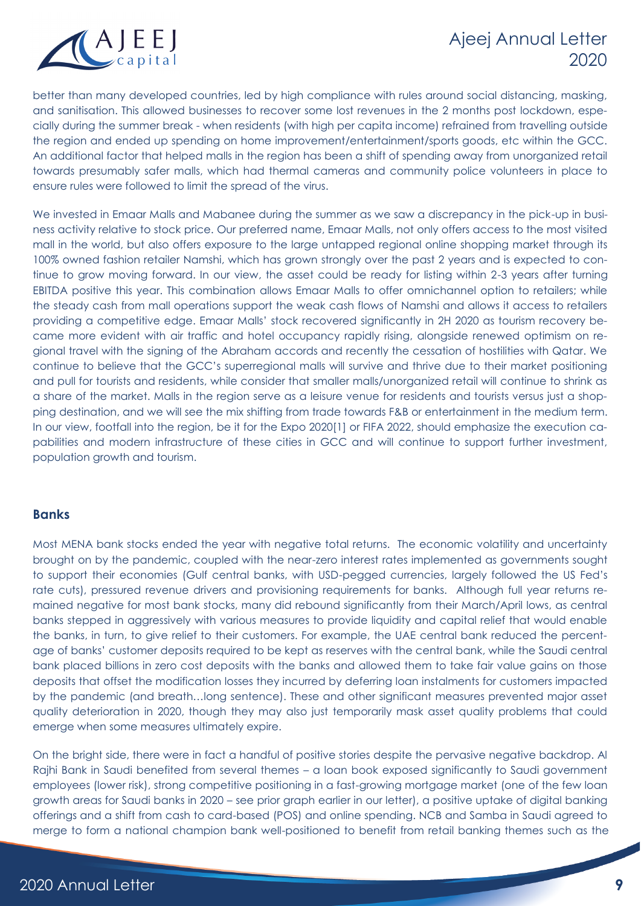

better than many developed countries, led by high compliance with rules around social distancing, masking, and sanitisation. This allowed businesses to recover some lost revenues in the 2 months post lockdown, especially during the summer break - when residents (with high per capita income) refrained from travelling outside the region and ended up spending on home improvement/entertainment/sports goods, etc within the GCC. An additional factor that helped malls in the region has been a shift of spending away from unorganized retail towards presumably safer malls, which had thermal cameras and community police volunteers in place to ensure rules were followed to limit the spread of the virus.

We invested in Emaar Malls and Mabanee during the summer as we saw a discrepancy in the pick-up in business activity relative to stock price. Our preferred name, Emaar Malls, not only offers access to the most visited mall in the world, but also offers exposure to the large untapped regional online shopping market through its 100% owned fashion retailer Namshi, which has grown strongly over the past 2 years and is expected to continue to grow moving forward. In our view, the asset could be ready for listing within 2-3 years after turning EBITDA positive this year. This combination allows Emaar Malls to offer omnichannel option to retailers; while the steady cash from mall operations support the weak cash flows of Namshi and allows it access to retailers providing a competitive edge. Emaar Malls' stock recovered significantly in 2H 2020 as tourism recovery became more evident with air traffic and hotel occupancy rapidly rising, alongside renewed optimism on regional travel with the signing of the Abraham accords and recently the cessation of hostilities with Qatar. We continue to believe that the GCC's superregional malls will survive and thrive due to their market positioning and pull for tourists and residents, while consider that smaller malls/unorganized retail will continue to shrink as a share of the market. Malls in the region serve as a leisure venue for residents and tourists versus just a shopping destination, and we will see the mix shifting from trade towards F&B or entertainment in the medium term. In our view, footfall into the region, be it for the Expo 2020[1] or FIFA 2022, should emphasize the execution capabilities and modern infrastructure of these cities in GCC and will continue to support further investment, population growth and tourism.

#### **Banks**

Most MENA bank stocks ended the year with negative total returns. The economic volatility and uncertainty brought on by the pandemic, coupled with the near-zero interest rates implemented as governments sought to support their economies (Gulf central banks, with USD-pegged currencies, largely followed the US Fed's rate cuts), pressured revenue drivers and provisioning requirements for banks. Although full year returns remained negative for most bank stocks, many did rebound significantly from their March/April lows, as central banks stepped in aggressively with various measures to provide liquidity and capital relief that would enable the banks, in turn, to give relief to their customers. For example, the UAE central bank reduced the percentage of banks' customer deposits required to be kept as reserves with the central bank, while the Saudi central bank placed billions in zero cost deposits with the banks and allowed them to take fair value gains on those deposits that offset the modification losses they incurred by deferring loan instalments for customers impacted by the pandemic (and breath…long sentence). These and other significant measures prevented major asset quality deterioration in 2020, though they may also just temporarily mask asset quality problems that could emerge when some measures ultimately expire.

On the bright side, there were in fact a handful of positive stories despite the pervasive negative backdrop. Al Rajhi Bank in Saudi benefited from several themes – a loan book exposed significantly to Saudi government employees (lower risk), strong competitive positioning in a fast-growing mortgage market (one of the few loan growth areas for Saudi banks in 2020 – see prior graph earlier in our letter), a positive uptake of digital banking offerings and a shift from cash to card-based (POS) and online spending. NCB and Samba in Saudi agreed to merge to form a national champion bank well-positioned to benefit from retail banking themes such as the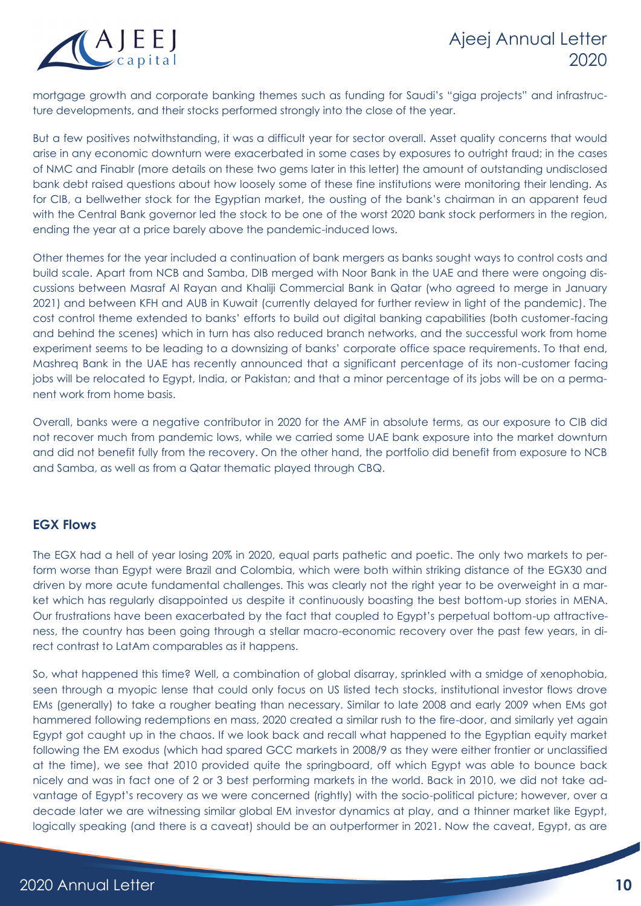

mortgage growth and corporate banking themes such as funding for Saudi's "giga projects" and infrastructure developments, and their stocks performed strongly into the close of the year.

But a few positives notwithstanding, it was a difficult year for sector overall. Asset quality concerns that would arise in any economic downturn were exacerbated in some cases by exposures to outright fraud; in the cases of NMC and Finablr (more details on these two gems later in this letter) the amount of outstanding undisclosed bank debt raised questions about how loosely some of these fine institutions were monitoring their lending. As for CIB, a bellwether stock for the Egyptian market, the ousting of the bank's chairman in an apparent feud with the Central Bank governor led the stock to be one of the worst 2020 bank stock performers in the region, ending the year at a price barely above the pandemic-induced lows.

Other themes for the year included a continuation of bank mergers as banks sought ways to control costs and build scale. Apart from NCB and Samba, DIB merged with Noor Bank in the UAE and there were ongoing discussions between Masraf Al Rayan and Khaliji Commercial Bank in Qatar (who agreed to merge in January 2021) and between KFH and AUB in Kuwait (currently delayed for further review in light of the pandemic). The cost control theme extended to banks' efforts to build out digital banking capabilities (both customer-facing and behind the scenes) which in turn has also reduced branch networks, and the successful work from home experiment seems to be leading to a downsizing of banks' corporate office space requirements. To that end, Mashreq Bank in the UAE has recently announced that a significant percentage of its non-customer facing jobs will be relocated to Egypt, India, or Pakistan; and that a minor percentage of its jobs will be on a permanent work from home basis.

Overall, banks were a negative contributor in 2020 for the AMF in absolute terms, as our exposure to CIB did not recover much from pandemic lows, while we carried some UAE bank exposure into the market downturn and did not benefit fully from the recovery. On the other hand, the portfolio did benefit from exposure to NCB and Samba, as well as from a Qatar thematic played through CBQ.

#### **EGX Flows**

The EGX had a hell of year losing 20% in 2020, equal parts pathetic and poetic. The only two markets to perform worse than Egypt were Brazil and Colombia, which were both within striking distance of the EGX30 and driven by more acute fundamental challenges. This was clearly not the right year to be overweight in a market which has regularly disappointed us despite it continuously boasting the best bottom-up stories in MENA. Our frustrations have been exacerbated by the fact that coupled to Egypt's perpetual bottom-up attractiveness, the country has been going through a stellar macro-economic recovery over the past few years, in direct contrast to LatAm comparables as it happens.

So, what happened this time? Well, a combination of global disarray, sprinkled with a smidge of xenophobia, seen through a myopic lense that could only focus on US listed tech stocks, institutional investor flows drove EMs (generally) to take a rougher beating than necessary. Similar to late 2008 and early 2009 when EMs got hammered following redemptions en mass, 2020 created a similar rush to the fire-door, and similarly yet again Egypt got caught up in the chaos. If we look back and recall what happened to the Egyptian equity market following the EM exodus (which had spared GCC markets in 2008/9 as they were either frontier or unclassified at the time), we see that 2010 provided quite the springboard, off which Egypt was able to bounce back nicely and was in fact one of 2 or 3 best performing markets in the world. Back in 2010, we did not take advantage of Egypt's recovery as we were concerned (rightly) with the socio-political picture; however, over a decade later we are witnessing similar global EM investor dynamics at play, and a thinner market like Egypt, logically speaking (and there is a caveat) should be an outperformer in 2021. Now the caveat, Egypt, as are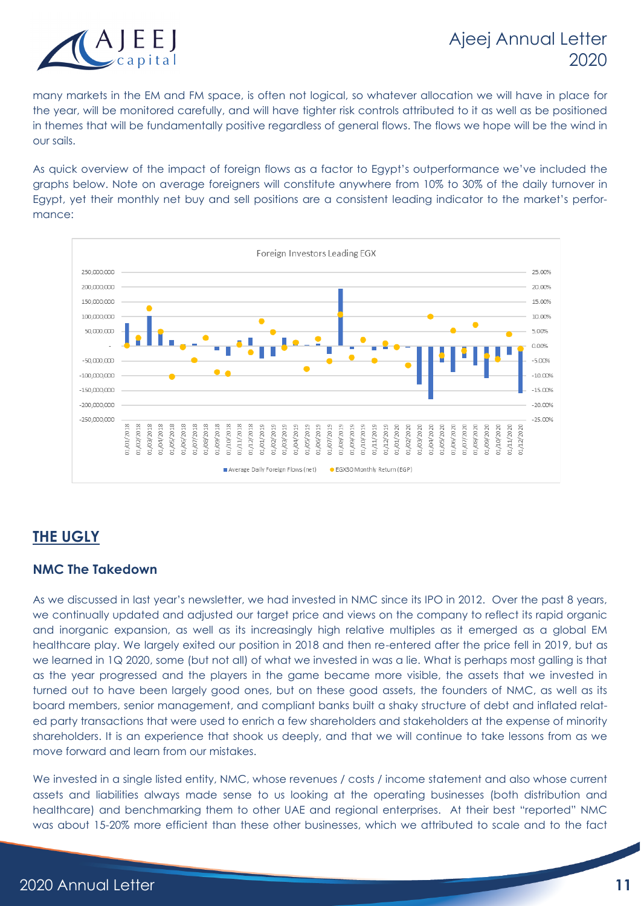

many markets in the EM and FM space, is often not logical, so whatever allocation we will have in place for the year, will be monitored carefully, and will have tighter risk controls attributed to it as well as be positioned in themes that will be fundamentally positive regardless of general flows. The flows we hope will be the wind in our sails.

As quick overview of the impact of foreign flows as a factor to Egypt's outperformance we've included the graphs below. Note on average foreigners will constitute anywhere from 10% to 30% of the daily turnover in Egypt, yet their monthly net buy and sell positions are a consistent leading indicator to the market's performance:



## **THE UGLY**

#### **NMC The Takedown**

As we discussed in last year's newsletter, we had invested in NMC since its IPO in 2012. Over the past 8 years, we continually updated and adjusted our target price and views on the company to reflect its rapid organic and inorganic expansion, as well as its increasingly high relative multiples as it emerged as a global EM healthcare play. We largely exited our position in 2018 and then re-entered after the price fell in 2019, but as we learned in 1Q 2020, some (but not all) of what we invested in was a lie. What is perhaps most galling is that as the year progressed and the players in the game became more visible, the assets that we invested in turned out to have been largely good ones, but on these good assets, the founders of NMC, as well as its board members, senior management, and compliant banks built a shaky structure of debt and inflated related party transactions that were used to enrich a few shareholders and stakeholders at the expense of minority shareholders. It is an experience that shook us deeply, and that we will continue to take lessons from as we move forward and learn from our mistakes.

We invested in a single listed entity, NMC, whose revenues / costs / income statement and also whose current assets and liabilities always made sense to us looking at the operating businesses (both distribution and healthcare) and benchmarking them to other UAE and regional enterprises. At their best "reported" NMC was about 15-20% more efficient than these other businesses, which we attributed to scale and to the fact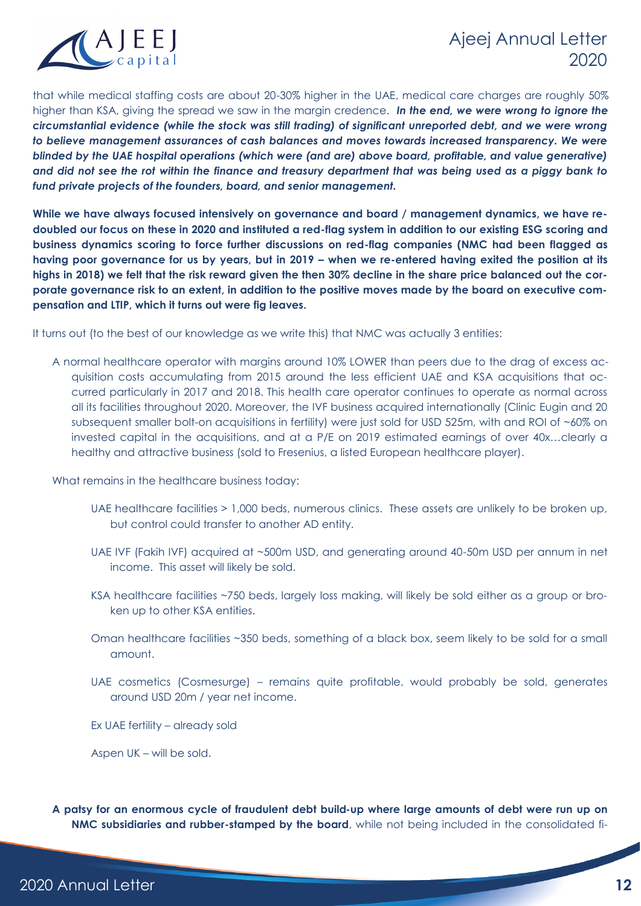

that while medical staffing costs are about 20-30% higher in the UAE, medical care charges are roughly 50% higher than KSA, giving the spread we saw in the margin credence. *In the end, we were wrong to ignore the circumstantial evidence (while the stock was still trading) of significant unreported debt, and we were wrong to believe management assurances of cash balances and moves towards increased transparency. We were blinded by the UAE hospital operations (which were (and are) above board, profitable, and value generative) and did not see the rot within the finance and treasury department that was being used as a piggy bank to fund private projects of the founders, board, and senior management.*

**While we have always focused intensively on governance and board / management dynamics, we have redoubled our focus on these in 2020 and instituted a red-flag system in addition to our existing ESG scoring and business dynamics scoring to force further discussions on red-flag companies (NMC had been flagged as having poor governance for us by years, but in 2019 – when we re-entered having exited the position at its highs in 2018) we felt that the risk reward given the then 30% decline in the share price balanced out the corporate governance risk to an extent, in addition to the positive moves made by the board on executive compensation and LTIP, which it turns out were fig leaves.**

It turns out (to the best of our knowledge as we write this) that NMC was actually 3 entities:

A normal healthcare operator with margins around 10% LOWER than peers due to the drag of excess acquisition costs accumulating from 2015 around the less efficient UAE and KSA acquisitions that occurred particularly in 2017 and 2018. This health care operator continues to operate as normal across all its facilities throughout 2020. Moreover, the IVF business acquired internationally (Clinic Eugin and 20 subsequent smaller bolt-on acquisitions in fertility) were just sold for USD 525m, with and ROI of ~60% on invested capital in the acquisitions, and at a P/E on 2019 estimated earnings of over 40x…clearly a healthy and attractive business (sold to Fresenius, a listed European healthcare player).

What remains in the healthcare business today:

- UAE healthcare facilities > 1,000 beds, numerous clinics. These assets are unlikely to be broken up, but control could transfer to another AD entity.
- UAE IVF (Fakih IVF) acquired at ~500m USD, and generating around 40-50m USD per annum in net income. This asset will likely be sold.
- KSA healthcare facilities ~750 beds, largely loss making, will likely be sold either as a group or broken up to other KSA entities.
- Oman healthcare facilities ~350 beds, something of a black box, seem likely to be sold for a small amount.
- UAE cosmetics (Cosmesurge) remains quite profitable, would probably be sold, generates around USD 20m / year net income.
- Ex UAE fertility already sold

Aspen UK – will be sold.

**A patsy for an enormous cycle of fraudulent debt build-up where large amounts of debt were run up on NMC subsidiaries and rubber-stamped by the board**, while not being included in the consolidated fi-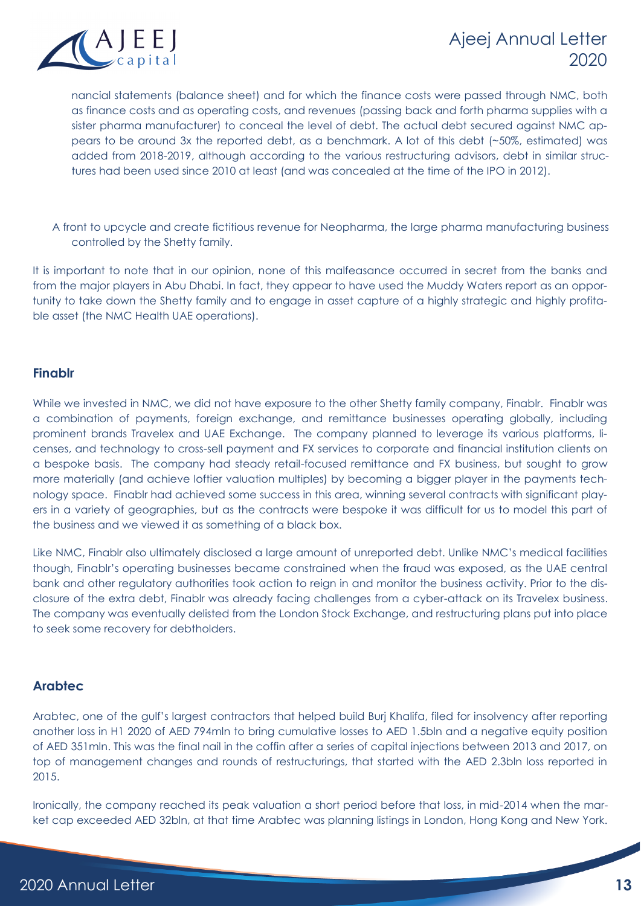

nancial statements (balance sheet) and for which the finance costs were passed through NMC, both as finance costs and as operating costs, and revenues (passing back and forth pharma supplies with a sister pharma manufacturer) to conceal the level of debt. The actual debt secured against NMC appears to be around 3x the reported debt, as a benchmark. A lot of this debt (~50%, estimated) was added from 2018-2019, although according to the various restructuring advisors, debt in similar structures had been used since 2010 at least (and was concealed at the time of the IPO in 2012).

A front to upcycle and create fictitious revenue for Neopharma, the large pharma manufacturing business controlled by the Shetty family.

It is important to note that in our opinion, none of this malfeasance occurred in secret from the banks and from the major players in Abu Dhabi. In fact, they appear to have used the Muddy Waters report as an opportunity to take down the Shetty family and to engage in asset capture of a highly strategic and highly profitable asset (the NMC Health UAE operations).

### **Finablr**

While we invested in NMC, we did not have exposure to the other Shetty family company, Finablr. Finablr was a combination of payments, foreign exchange, and remittance businesses operating globally, including prominent brands Travelex and UAE Exchange. The company planned to leverage its various platforms, licenses, and technology to cross-sell payment and FX services to corporate and financial institution clients on a bespoke basis. The company had steady retail-focused remittance and FX business, but sought to grow more materially (and achieve loftier valuation multiples) by becoming a bigger player in the payments technology space. Finablr had achieved some success in this area, winning several contracts with significant players in a variety of geographies, but as the contracts were bespoke it was difficult for us to model this part of the business and we viewed it as something of a black box.

Like NMC, Finablr also ultimately disclosed a large amount of unreported debt. Unlike NMC's medical facilities though, Finablr's operating businesses became constrained when the fraud was exposed, as the UAE central bank and other regulatory authorities took action to reign in and monitor the business activity. Prior to the disclosure of the extra debt, Finablr was already facing challenges from a cyber-attack on its Travelex business. The company was eventually delisted from the London Stock Exchange, and restructuring plans put into place to seek some recovery for debtholders.

#### **Arabtec**

Arabtec, one of the gulf's largest contractors that helped build Burj Khalifa, filed for insolvency after reporting another loss in H1 2020 of AED 794mln to bring cumulative losses to AED 1.5bln and a negative equity position of AED 351mln. This was the final nail in the coffin after a series of capital injections between 2013 and 2017, on top of management changes and rounds of restructurings, that started with the AED 2.3bln loss reported in 2015.

Ironically, the company reached its peak valuation a short period before that loss, in mid-2014 when the market cap exceeded AED 32bln, at that time Arabtec was planning listings in London, Hong Kong and New York.